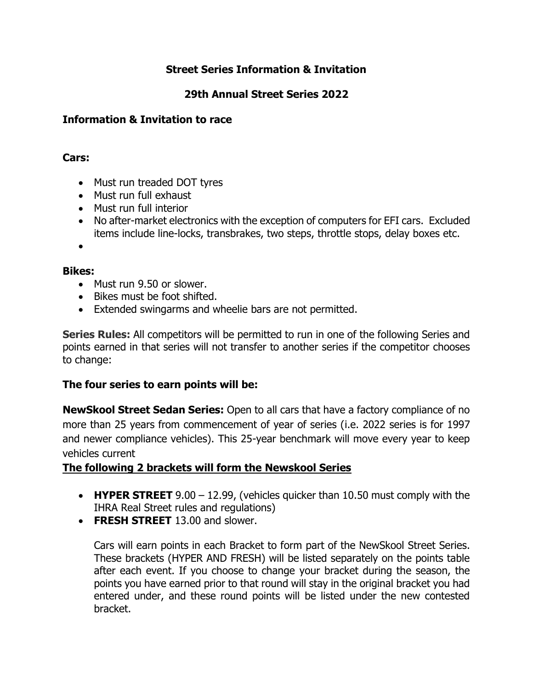## **Street Series Information & Invitation**

# **29th Annual Street Series 2022**

## **Information & Invitation to race**

## **Cars:**

- Must run treaded DOT tyres
- Must run full exhaust
- Must run full interior
- No after-market electronics with the exception of computers for EFI cars. Excluded items include line-locks, transbrakes, two steps, throttle stops, delay boxes etc.

•

### **Bikes:**

- Must run 9.50 or slower.
- Bikes must be foot shifted.
- Extended swingarms and wheelie bars are not permitted.

**Series Rules:** All competitors will be permitted to run in one of the following Series and points earned in that series will not transfer to another series if the competitor chooses to change:

## **The four series to earn points will be:**

**NewSkool Street Sedan Series:** Open to all cars that have a factory compliance of no more than 25 years from commencement of year of series (i.e. 2022 series is for 1997 and newer compliance vehicles). This 25-year benchmark will move every year to keep vehicles current

## **The following 2 brackets will form the Newskool Series**

- **HYPER STREET** 9.00 12.99, (vehicles quicker than 10.50 must comply with the IHRA Real Street rules and regulations)
- **FRESH STREET** 13.00 and slower.

Cars will earn points in each Bracket to form part of the NewSkool Street Series. These brackets (HYPER AND FRESH) will be listed separately on the points table after each event. If you choose to change your bracket during the season, the points you have earned prior to that round will stay in the original bracket you had entered under, and these round points will be listed under the new contested bracket.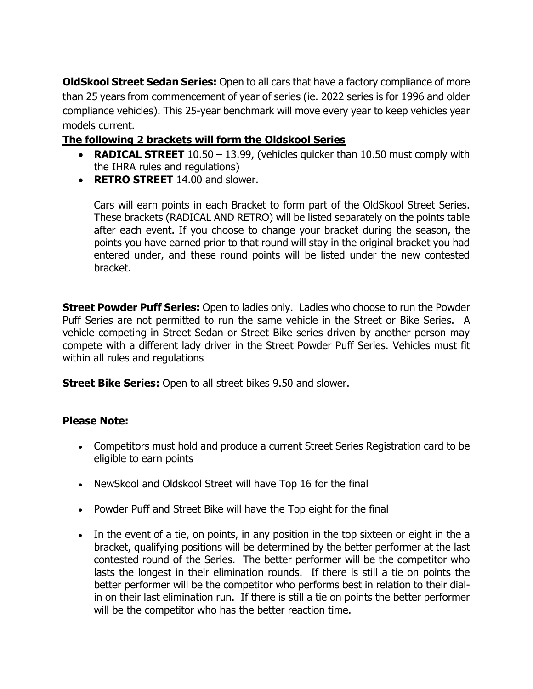**OldSkool Street Sedan Series:** Open to all cars that have a factory compliance of more than 25 years from commencement of year of series (ie. 2022 series is for 1996 and older compliance vehicles). This 25-year benchmark will move every year to keep vehicles year models current.

# **The following 2 brackets will form the Oldskool Series**

- **RADICAL STREET** 10.50 13.99, (vehicles quicker than 10.50 must comply with the IHRA rules and regulations)
- **RETRO STREET** 14.00 and slower.

Cars will earn points in each Bracket to form part of the OldSkool Street Series. These brackets (RADICAL AND RETRO) will be listed separately on the points table after each event. If you choose to change your bracket during the season, the points you have earned prior to that round will stay in the original bracket you had entered under, and these round points will be listed under the new contested bracket.

**Street Powder Puff Series:** Open to ladies only. Ladies who choose to run the Powder Puff Series are not permitted to run the same vehicle in the Street or Bike Series. A vehicle competing in Street Sedan or Street Bike series driven by another person may compete with a different lady driver in the Street Powder Puff Series. Vehicles must fit within all rules and regulations

**Street Bike Series:** Open to all street bikes 9.50 and slower.

### **Please Note:**

- Competitors must hold and produce a current Street Series Registration card to be eligible to earn points
- NewSkool and Oldskool Street will have Top 16 for the final
- Powder Puff and Street Bike will have the Top eight for the final
- In the event of a tie, on points, in any position in the top sixteen or eight in the a bracket, qualifying positions will be determined by the better performer at the last contested round of the Series. The better performer will be the competitor who lasts the longest in their elimination rounds. If there is still a tie on points the better performer will be the competitor who performs best in relation to their dialin on their last elimination run. If there is still a tie on points the better performer will be the competitor who has the better reaction time.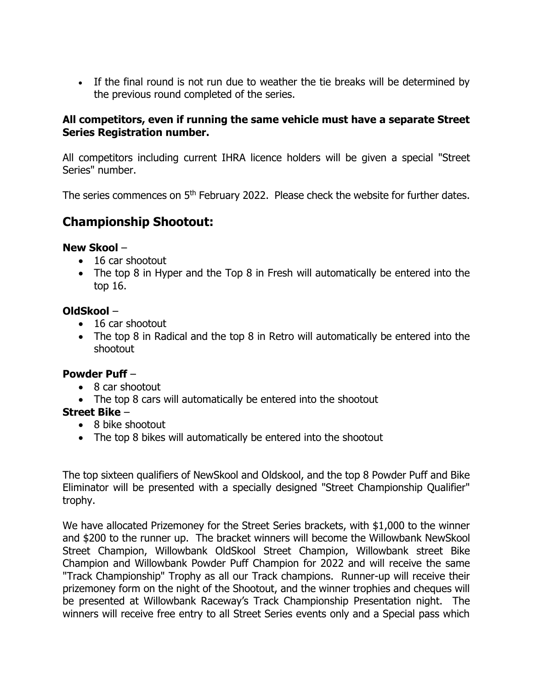• If the final round is not run due to weather the tie breaks will be determined by the previous round completed of the series.

### **All competitors, even if running the same vehicle must have a separate Street Series Registration number.**

All competitors including current IHRA licence holders will be given a special "Street Series" number.

The series commences on 5<sup>th</sup> February 2022. Please check the website for further dates.

# **Championship Shootout:**

### **New Skool** –

- 16 car shootout
- The top 8 in Hyper and the Top 8 in Fresh will automatically be entered into the top 16.

### **OldSkool** –

- 16 car shootout
- The top 8 in Radical and the top 8 in Retro will automatically be entered into the shootout

### **Powder Puff** –

- 8 car shootout
- The top 8 cars will automatically be entered into the shootout

### **Street Bike** –

- 8 bike shootout
- The top 8 bikes will automatically be entered into the shootout

The top sixteen qualifiers of NewSkool and Oldskool, and the top 8 Powder Puff and Bike Eliminator will be presented with a specially designed "Street Championship Qualifier" trophy.

We have allocated Prizemoney for the Street Series brackets, with \$1,000 to the winner and \$200 to the runner up. The bracket winners will become the Willowbank NewSkool Street Champion, Willowbank OldSkool Street Champion, Willowbank street Bike Champion and Willowbank Powder Puff Champion for 2022 and will receive the same "Track Championship" Trophy as all our Track champions. Runner-up will receive their prizemoney form on the night of the Shootout, and the winner trophies and cheques will be presented at Willowbank Raceway's Track Championship Presentation night. The winners will receive free entry to all Street Series events only and a Special pass which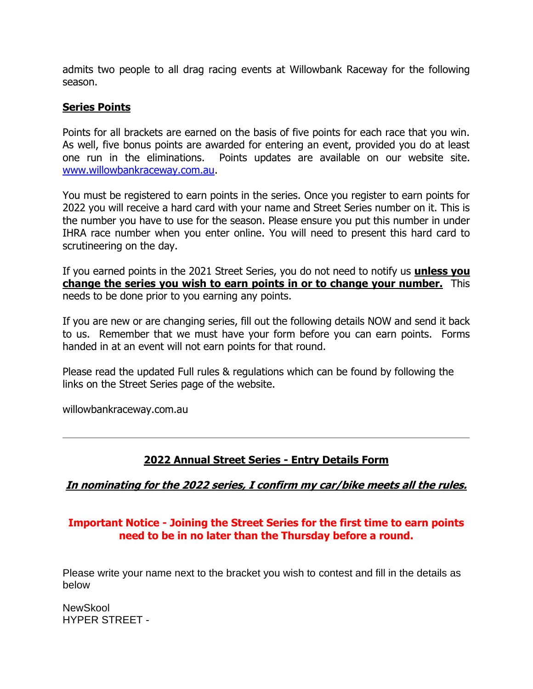admits two people to all drag racing events at Willowbank Raceway for the following season.

### **Series Points**

Points for all brackets are earned on the basis of five points for each race that you win. As well, five bonus points are awarded for entering an event, provided you do at least one run in the eliminations. Points updates are available on our website site. [www.willowbankraceway.com.au.](http://www.willowbankraceway.com.au/)

You must be registered to earn points in the series. Once you register to earn points for 2022 you will receive a hard card with your name and Street Series number on it. This is the number you have to use for the season. Please ensure you put this number in under IHRA race number when you enter online. You will need to present this hard card to scrutineering on the day.

If you earned points in the 2021 Street Series, you do not need to notify us **unless you change the series you wish to earn points in or to change your number.** This needs to be done prior to you earning any points.

If you are new or are changing series, fill out the following details NOW and send it back to us. Remember that we must have your form before you can earn points. Forms handed in at an event will not earn points for that round.

Please read the updated Full rules & regulations which can be found by following the links on the Street Series page of the website.

willowbankraceway.com.au

## **2022 Annual Street Series - Entry Details Form**

### **In nominating for the 2022 series, I confirm my car/bike meets all the rules.**

## **Important Notice - Joining the Street Series for the first time to earn points need to be in no later than the Thursday before a round.**

Please write your name next to the bracket you wish to contest and fill in the details as below

**NewSkool** HYPER STREET -